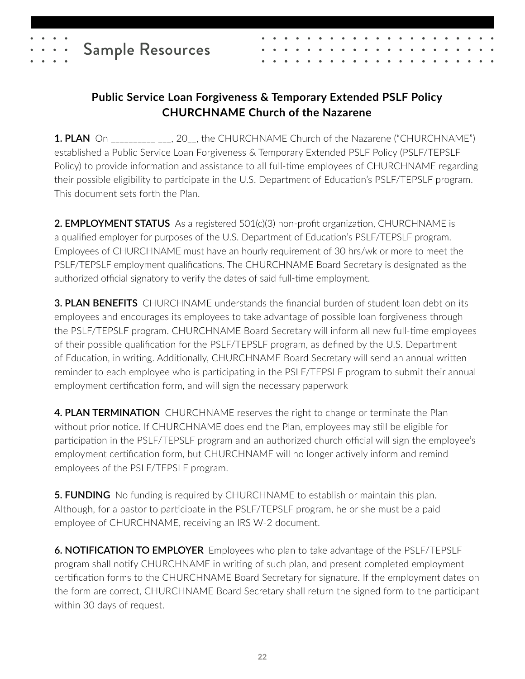

## **Public Service Loan Forgiveness & Temporary Extended PSLF Policy CHURCHNAME Church of the Nazarene**

**1. PLAN** On  $(20, 20)$ , the CHURCHNAME Church of the Nazarene ("CHURCHNAME") established a Public Service Loan Forgiveness & Temporary Extended PSLF Policy (PSLF/TEPSLF Policy) to provide information and assistance to all full-time employees of CHURCHNAME regarding their possible eligibility to participate in the U.S. Department of Education's PSLF/TEPSLF program. This document sets forth the Plan.

**2. EMPLOYMENT STATUS** As a registered 501(c)(3) non-profit organization, CHURCHNAME is a qualified employer for purposes of the U.S. Department of Education's PSLF/TEPSLF program. Employees of CHURCHNAME must have an hourly requirement of 30 hrs/wk or more to meet the PSLF/TEPSLF employment qualifications. The CHURCHNAME Board Secretary is designated as the authorized official signatory to verify the dates of said full-time employment.

**3. PLAN BENEFITS** CHURCHNAME understands the financial burden of student loan debt on its employees and encourages its employees to take advantage of possible loan forgiveness through the PSLF/TEPSLF program. CHURCHNAME Board Secretary will inform all new full-time employees of their possible qualification for the PSLF/TEPSLF program, as defined by the U.S. Department of Education, in writing. Additionally, CHURCHNAME Board Secretary will send an annual written reminder to each employee who is participating in the PSLF/TEPSLF program to submit their annual employment certification form, and will sign the necessary paperwork

**4. PLAN TERMINATION** CHURCHNAME reserves the right to change or terminate the Plan without prior notice. If CHURCHNAME does end the Plan, employees may still be eligible for participation in the PSLF/TEPSLF program and an authorized church official will sign the employee's employment certification form, but CHURCHNAME will no longer actively inform and remind employees of the PSLF/TEPSLF program.

**5. FUNDING** No funding is required by CHURCHNAME to establish or maintain this plan. Although, for a pastor to participate in the PSLF/TEPSLF program, he or she must be a paid employee of CHURCHNAME, receiving an IRS W-2 document.

**6. NOTIFICATION TO EMPLOYER** Employees who plan to take advantage of the PSLF/TEPSLF program shall notify CHURCHNAME in writing of such plan, and present completed employment certification forms to the CHURCHNAME Board Secretary for signature. If the employment dates on the form are correct, CHURCHNAME Board Secretary shall return the signed form to the participant within 30 days of request.